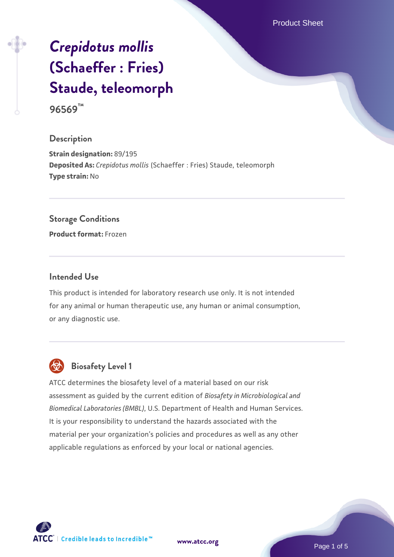Product Sheet

# *[Crepidotus mollis](https://www.atcc.org/products/96569)* **[\(Schaeffer : Fries\)](https://www.atcc.org/products/96569) [Staude, teleomorph](https://www.atcc.org/products/96569)**

**96569™**

#### **Description**

**Strain designation:** 89/195 **Deposited As:** *Crepidotus mollis* (Schaeffer : Fries) Staude, teleomorph **Type strain:** No

#### **Storage Conditions**

**Product format:** Frozen

#### **Intended Use**

This product is intended for laboratory research use only. It is not intended for any animal or human therapeutic use, any human or animal consumption, or any diagnostic use.



# **Biosafety Level 1**

ATCC determines the biosafety level of a material based on our risk assessment as guided by the current edition of *Biosafety in Microbiological and Biomedical Laboratories (BMBL)*, U.S. Department of Health and Human Services. It is your responsibility to understand the hazards associated with the material per your organization's policies and procedures as well as any other applicable regulations as enforced by your local or national agencies.

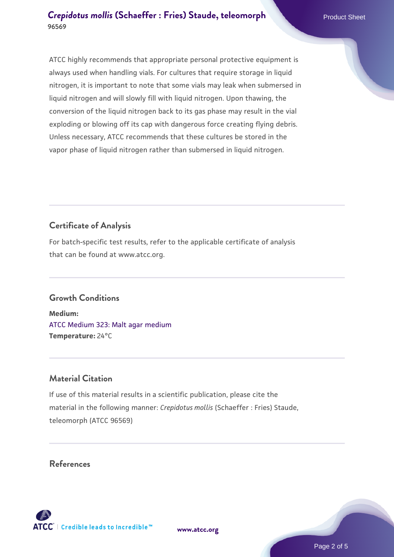ATCC highly recommends that appropriate personal protective equipment is always used when handling vials. For cultures that require storage in liquid nitrogen, it is important to note that some vials may leak when submersed in liquid nitrogen and will slowly fill with liquid nitrogen. Upon thawing, the conversion of the liquid nitrogen back to its gas phase may result in the vial exploding or blowing off its cap with dangerous force creating flying debris. Unless necessary, ATCC recommends that these cultures be stored in the vapor phase of liquid nitrogen rather than submersed in liquid nitrogen.

### **Certificate of Analysis**

For batch-specific test results, refer to the applicable certificate of analysis that can be found at www.atcc.org.

#### **Growth Conditions**

**Medium:**  [ATCC Medium 323: Malt agar medium](https://www.atcc.org/-/media/product-assets/documents/microbial-media-formulations/3/2/3/atcc-medium-323.pdf?rev=58d6457ee20149d7a1c844947569ef92) **Temperature:** 24°C

#### **Material Citation**

If use of this material results in a scientific publication, please cite the material in the following manner: *Crepidotus mollis* (Schaeffer : Fries) Staude, teleomorph (ATCC 96569)

#### **References**

**[www.atcc.org](http://www.atcc.org)**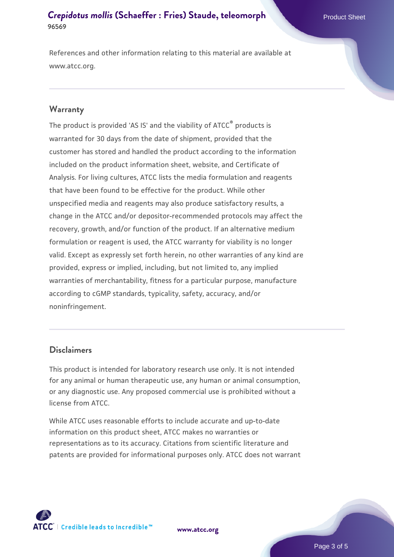References and other information relating to this material are available at www.atcc.org.

#### **Warranty**

The product is provided 'AS IS' and the viability of ATCC® products is warranted for 30 days from the date of shipment, provided that the customer has stored and handled the product according to the information included on the product information sheet, website, and Certificate of Analysis. For living cultures, ATCC lists the media formulation and reagents that have been found to be effective for the product. While other unspecified media and reagents may also produce satisfactory results, a change in the ATCC and/or depositor-recommended protocols may affect the recovery, growth, and/or function of the product. If an alternative medium formulation or reagent is used, the ATCC warranty for viability is no longer valid. Except as expressly set forth herein, no other warranties of any kind are provided, express or implied, including, but not limited to, any implied warranties of merchantability, fitness for a particular purpose, manufacture according to cGMP standards, typicality, safety, accuracy, and/or noninfringement.

#### **Disclaimers**

This product is intended for laboratory research use only. It is not intended for any animal or human therapeutic use, any human or animal consumption, or any diagnostic use. Any proposed commercial use is prohibited without a license from ATCC.

While ATCC uses reasonable efforts to include accurate and up-to-date information on this product sheet, ATCC makes no warranties or representations as to its accuracy. Citations from scientific literature and patents are provided for informational purposes only. ATCC does not warrant



**[www.atcc.org](http://www.atcc.org)**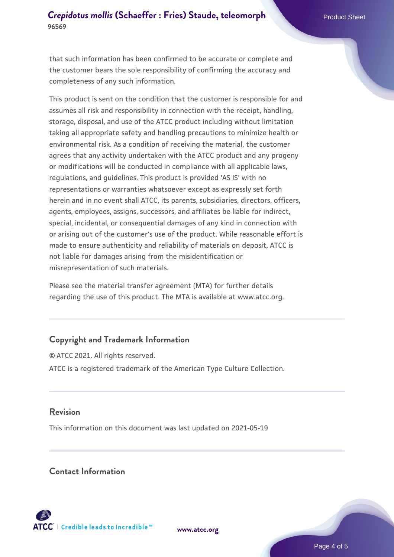that such information has been confirmed to be accurate or complete and the customer bears the sole responsibility of confirming the accuracy and completeness of any such information.

This product is sent on the condition that the customer is responsible for and assumes all risk and responsibility in connection with the receipt, handling, storage, disposal, and use of the ATCC product including without limitation taking all appropriate safety and handling precautions to minimize health or environmental risk. As a condition of receiving the material, the customer agrees that any activity undertaken with the ATCC product and any progeny or modifications will be conducted in compliance with all applicable laws, regulations, and guidelines. This product is provided 'AS IS' with no representations or warranties whatsoever except as expressly set forth herein and in no event shall ATCC, its parents, subsidiaries, directors, officers, agents, employees, assigns, successors, and affiliates be liable for indirect, special, incidental, or consequential damages of any kind in connection with or arising out of the customer's use of the product. While reasonable effort is made to ensure authenticity and reliability of materials on deposit, ATCC is not liable for damages arising from the misidentification or misrepresentation of such materials.

Please see the material transfer agreement (MTA) for further details regarding the use of this product. The MTA is available at www.atcc.org.

#### **Copyright and Trademark Information**

© ATCC 2021. All rights reserved. ATCC is a registered trademark of the American Type Culture Collection.

#### **Revision**

This information on this document was last updated on 2021-05-19

#### **Contact Information**



**[www.atcc.org](http://www.atcc.org)**

Page 4 of 5